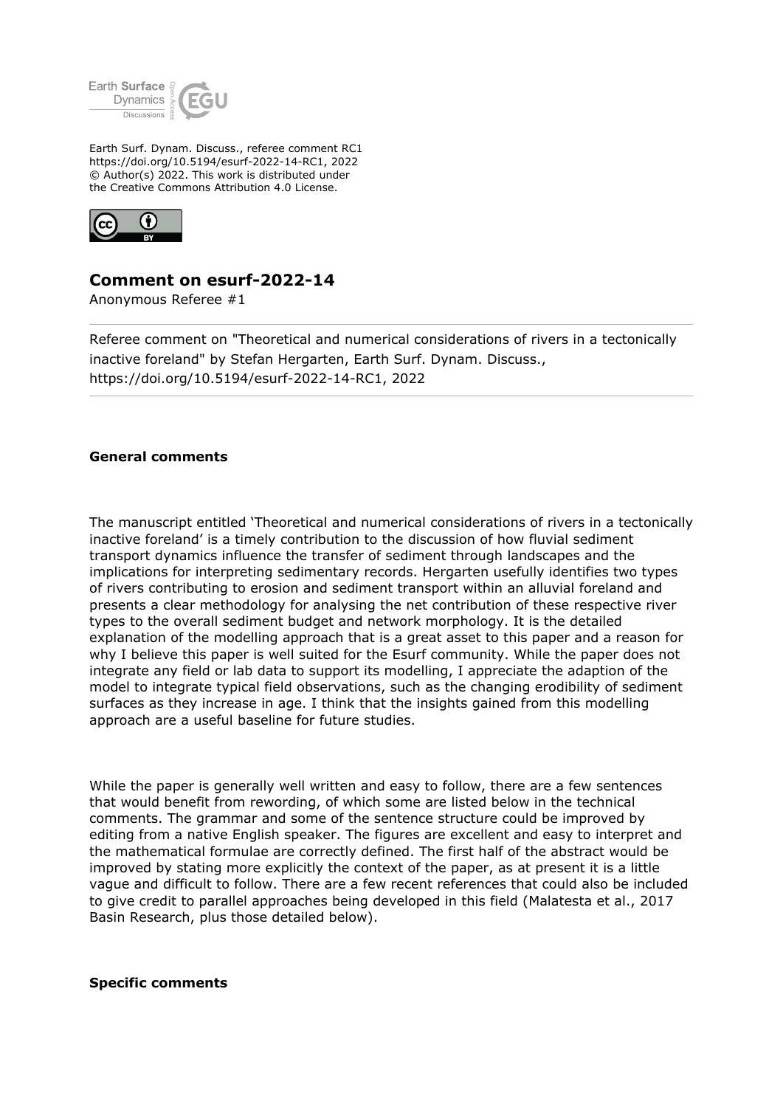

Earth Surf. Dynam. Discuss., referee comment RC1 https://doi.org/10.5194/esurf-2022-14-RC1, 2022 © Author(s) 2022. This work is distributed under the Creative Commons Attribution 4.0 License.



## **Comment on esurf-2022-14**

Anonymous Referee #1

Referee comment on "Theoretical and numerical considerations of rivers in a tectonically inactive foreland" by Stefan Hergarten, Earth Surf. Dynam. Discuss., https://doi.org/10.5194/esurf-2022-14-RC1, 2022

## **General comments**

The manuscript entitled 'Theoretical and numerical considerations of rivers in a tectonically inactive foreland' is a timely contribution to the discussion of how fluvial sediment transport dynamics influence the transfer of sediment through landscapes and the implications for interpreting sedimentary records. Hergarten usefully identifies two types of rivers contributing to erosion and sediment transport within an alluvial foreland and presents a clear methodology for analysing the net contribution of these respective river types to the overall sediment budget and network morphology. It is the detailed explanation of the modelling approach that is a great asset to this paper and a reason for why I believe this paper is well suited for the Esurf community. While the paper does not integrate any field or lab data to support its modelling, I appreciate the adaption of the model to integrate typical field observations, such as the changing erodibility of sediment surfaces as they increase in age. I think that the insights gained from this modelling approach are a useful baseline for future studies.

While the paper is generally well written and easy to follow, there are a few sentences that would benefit from rewording, of which some are listed below in the technical comments. The grammar and some of the sentence structure could be improved by editing from a native English speaker. The figures are excellent and easy to interpret and the mathematical formulae are correctly defined. The first half of the abstract would be improved by stating more explicitly the context of the paper, as at present it is a little vague and difficult to follow. There are a few recent references that could also be included to give credit to parallel approaches being developed in this field (Malatesta et al., 2017 Basin Research, plus those detailed below).

## **Specific comments**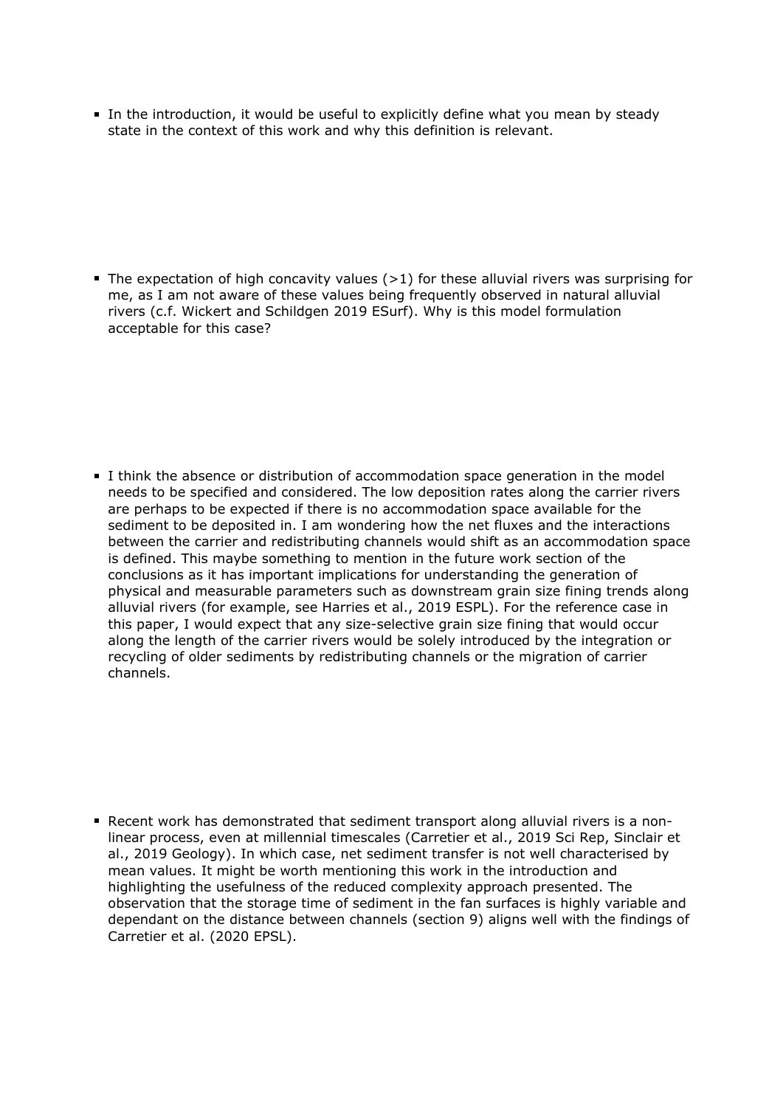In the introduction, it would be useful to explicitly define what you mean by steady state in the context of this work and why this definition is relevant.

The expectation of high concavity values  $(>1)$  for these alluvial rivers was surprising for me, as I am not aware of these values being frequently observed in natural alluvial rivers (c.f. Wickert and Schildgen 2019 ESurf). Why is this model formulation acceptable for this case?

I think the absence or distribution of accommodation space generation in the model needs to be specified and considered. The low deposition rates along the carrier rivers are perhaps to be expected if there is no accommodation space available for the sediment to be deposited in. I am wondering how the net fluxes and the interactions between the carrier and redistributing channels would shift as an accommodation space is defined. This maybe something to mention in the future work section of the conclusions as it has important implications for understanding the generation of physical and measurable parameters such as downstream grain size fining trends along alluvial rivers (for example, see Harries et al., 2019 ESPL). For the reference case in this paper, I would expect that any size-selective grain size fining that would occur along the length of the carrier rivers would be solely introduced by the integration or recycling of older sediments by redistributing channels or the migration of carrier channels.

Recent work has demonstrated that sediment transport along alluvial rivers is a nonlinear process, even at millennial timescales (Carretier et al., 2019 Sci Rep, Sinclair et al., 2019 Geology). In which case, net sediment transfer is not well characterised by mean values. It might be worth mentioning this work in the introduction and highlighting the usefulness of the reduced complexity approach presented. The observation that the storage time of sediment in the fan surfaces is highly variable and dependant on the distance between channels (section 9) aligns well with the findings of Carretier et al. (2020 EPSL).